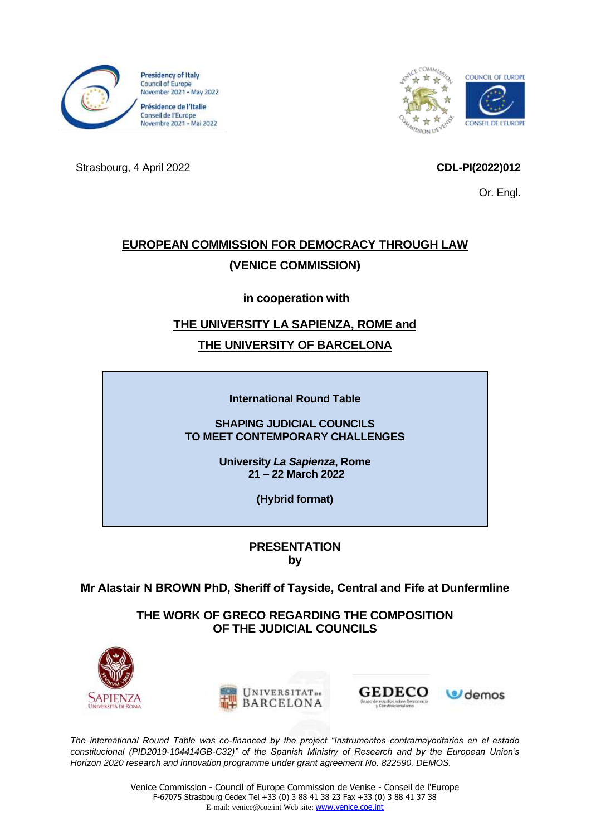



Strasbourg, 4 April 2022 **CDL-PI(2022)012**

Or. Engl.

## **EUROPEAN COMMISSION FOR DEMOCRACY THROUGH LAW (VENICE COMMISSION)**

**in cooperation with**

## **THE UNIVERSITY LA SAPIENZA, ROME and**

**THE UNIVERSITY OF BARCELONA**

**International Round Table**

**SHAPING JUDICIAL COUNCILS TO MEET CONTEMPORARY CHALLENGES**

> **University** *La Sapienza***, Rome 21 – 22 March 2022**

> > **(Hybrid format)**

## **PRESENTATION by**

**Mr Alastair N BROWN PhD, Sheriff of Tayside, Central and Fife at Dunfermline**

**THE WORK OF GRECO REGARDING THE COMPOSITION OF THE JUDICIAL COUNCILS**







*The international Round Table was co-financed by the project "Instrumentos contramayoritarios en el estado constitucional (PID2019-104414GB-C32)" of the Spanish Ministry of Research and by the European Union's Horizon 2020 research and innovation programme under grant agreement No. 822590, DEMOS.*

> Venice Commission - Council of Europe Commission de Venise - Conseil de l'Europe F-67075 Strasbourg Cedex Tel +33 (0) 3 88 41 38 23 Fax +33 (0) 3 88 41 37 38 E-mail: venice@coe.int Web site: [www.venice.coe.int](http://www.venice.coe.int/)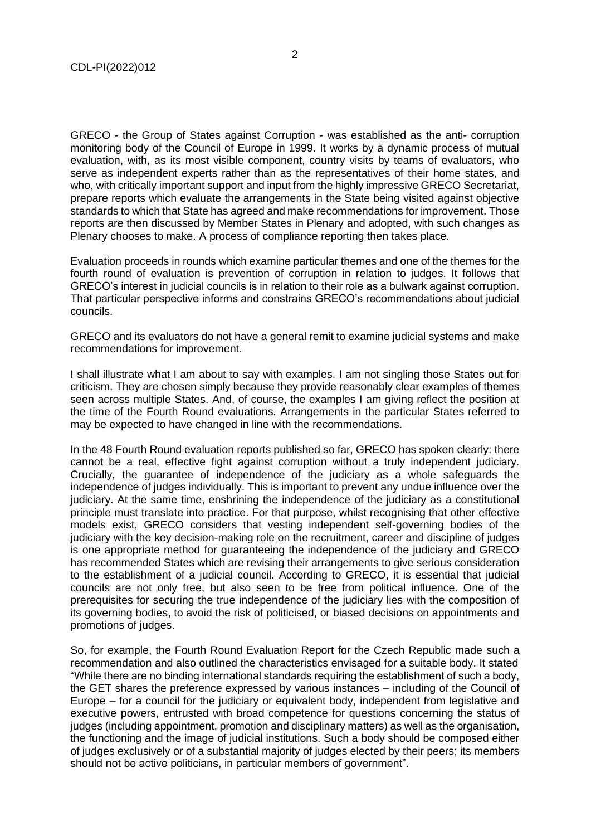GRECO - the Group of States against Corruption - was established as the anti- corruption monitoring body of the Council of Europe in 1999. It works by a dynamic process of mutual evaluation, with, as its most visible component, country visits by teams of evaluators, who serve as independent experts rather than as the representatives of their home states, and who, with critically important support and input from the highly impressive GRECO Secretariat, prepare reports which evaluate the arrangements in the State being visited against objective standards to which that State has agreed and make recommendations for improvement. Those reports are then discussed by Member States in Plenary and adopted, with such changes as Plenary chooses to make. A process of compliance reporting then takes place.

Evaluation proceeds in rounds which examine particular themes and one of the themes for the fourth round of evaluation is prevention of corruption in relation to judges. It follows that GRECO's interest in judicial councils is in relation to their role as a bulwark against corruption. That particular perspective informs and constrains GRECO's recommendations about judicial councils.

GRECO and its evaluators do not have a general remit to examine judicial systems and make recommendations for improvement.

I shall illustrate what I am about to say with examples. I am not singling those States out for criticism. They are chosen simply because they provide reasonably clear examples of themes seen across multiple States. And, of course, the examples I am giving reflect the position at the time of the Fourth Round evaluations. Arrangements in the particular States referred to may be expected to have changed in line with the recommendations.

In the 48 Fourth Round evaluation reports published so far, GRECO has spoken clearly: there cannot be a real, effective fight against corruption without a truly independent judiciary. Crucially, the guarantee of independence of the judiciary as a whole safeguards the independence of judges individually. This is important to prevent any undue influence over the judiciary. At the same time, enshrining the independence of the judiciary as a constitutional principle must translate into practice. For that purpose, whilst recognising that other effective models exist, GRECO considers that vesting independent self-governing bodies of the judiciary with the key decision-making role on the recruitment, career and discipline of judges is one appropriate method for guaranteeing the independence of the judiciary and GRECO has recommended States which are revising their arrangements to give serious consideration to the establishment of a judicial council. According to GRECO, it is essential that judicial councils are not only free, but also seen to be free from political influence. One of the prerequisites for securing the true independence of the judiciary lies with the composition of its governing bodies, to avoid the risk of politicised, or biased decisions on appointments and promotions of judges.

So, for example, the Fourth Round Evaluation Report for the Czech Republic made such a recommendation and also outlined the characteristics envisaged for a suitable body. It stated "While there are no binding international standards requiring the establishment of such a body, the GET shares the preference expressed by various instances – including of the Council of Europe – for a council for the judiciary or equivalent body, independent from legislative and executive powers, entrusted with broad competence for questions concerning the status of judges (including appointment, promotion and disciplinary matters) as well as the organisation, the functioning and the image of judicial institutions. Such a body should be composed either of judges exclusively or of a substantial majority of judges elected by their peers; its members should not be active politicians, in particular members of government".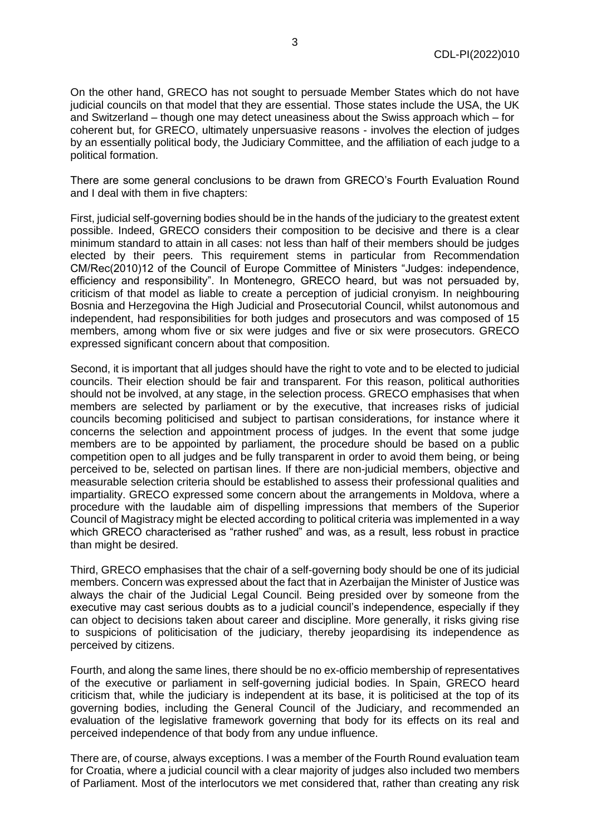On the other hand, GRECO has not sought to persuade Member States which do not have judicial councils on that model that they are essential. Those states include the USA, the UK and Switzerland – though one may detect uneasiness about the Swiss approach which – for coherent but, for GRECO, ultimately unpersuasive reasons - involves the election of judges by an essentially political body, the Judiciary Committee, and the affiliation of each judge to a political formation.

There are some general conclusions to be drawn from GRECO's Fourth Evaluation Round and I deal with them in five chapters:

First, judicial self-governing bodies should be in the hands of the judiciary to the greatest extent possible. Indeed, GRECO considers their composition to be decisive and there is a clear minimum standard to attain in all cases: not less than half of their members should be judges elected by their peers. This requirement stems in particular from Recommendation CM/Rec(2010)12 of the Council of Europe Committee of Ministers "Judges: independence, efficiency and responsibility". In Montenegro, GRECO heard, but was not persuaded by, criticism of that model as liable to create a perception of judicial cronyism. In neighbouring Bosnia and Herzegovina the High Judicial and Prosecutorial Council, whilst autonomous and independent, had responsibilities for both judges and prosecutors and was composed of 15 members, among whom five or six were judges and five or six were prosecutors. GRECO expressed significant concern about that composition.

Second, it is important that all judges should have the right to vote and to be elected to judicial councils. Their election should be fair and transparent. For this reason, political authorities should not be involved, at any stage, in the selection process. GRECO emphasises that when members are selected by parliament or by the executive, that increases risks of judicial councils becoming politicised and subject to partisan considerations, for instance where it concerns the selection and appointment process of judges. In the event that some judge members are to be appointed by parliament, the procedure should be based on a public competition open to all judges and be fully transparent in order to avoid them being, or being perceived to be, selected on partisan lines. If there are non-judicial members, objective and measurable selection criteria should be established to assess their professional qualities and impartiality. GRECO expressed some concern about the arrangements in Moldova, where a procedure with the laudable aim of dispelling impressions that members of the Superior Council of Magistracy might be elected according to political criteria was implemented in a way which GRECO characterised as "rather rushed" and was, as a result, less robust in practice than might be desired.

Third, GRECO emphasises that the chair of a self-governing body should be one of its judicial members. Concern was expressed about the fact that in Azerbaijan the Minister of Justice was always the chair of the Judicial Legal Council. Being presided over by someone from the executive may cast serious doubts as to a judicial council's independence, especially if they can object to decisions taken about career and discipline. More generally, it risks giving rise to suspicions of politicisation of the judiciary, thereby jeopardising its independence as perceived by citizens.

Fourth, and along the same lines, there should be no ex-officio membership of representatives of the executive or parliament in self-governing judicial bodies. In Spain, GRECO heard criticism that, while the judiciary is independent at its base, it is politicised at the top of its governing bodies, including the General Council of the Judiciary, and recommended an evaluation of the legislative framework governing that body for its effects on its real and perceived independence of that body from any undue influence.

There are, of course, always exceptions. I was a member of the Fourth Round evaluation team for Croatia, where a judicial council with a clear majority of judges also included two members of Parliament. Most of the interlocutors we met considered that, rather than creating any risk